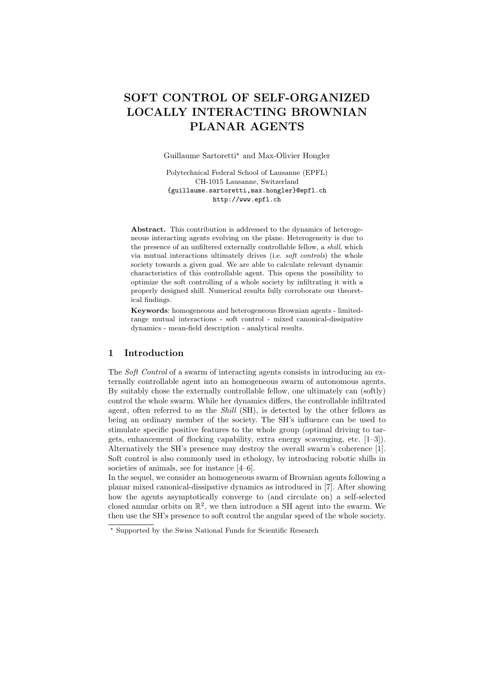# SOFT CONTROL OF SELF-ORGANIZED LOCALLY INTERACTING BROWNIAN PLANAR AGENTS

Guillaume Sartoretti? and Max-Olivier Hongler

Polytechnical Federal School of Lausanne (EPFL) CH-1015 Lausanne, Switzerland {guillaume.sartoretti,max.hongler}@epfl.ch http://www.epfl.ch

Abstract. This contribution is addressed to the dynamics of heterogeneous interacting agents evolving on the plane. Heterogeneity is due to the presence of an unfiltered externally controllable fellow, a shill, which via mutual interactions ultimately drives (i.e. soft controls) the whole society towards a given goal. We are able to calculate relevant dynamic characteristics of this controllable agent. This opens the possibility to optimize the soft controlling of a whole society by infiltrating it with a properly designed shill. Numerical results fully corroborate our theoretical findings.

Keywords: homogeneous and heterogeneous Brownian agents - limitedrange mutual interactions - soft control - mixed canonical-dissipative dynamics - mean-field description - analytical results.

### 1 Introduction

The *Soft Control* of a swarm of interacting agents consists in introducing an externally controllable agent into an homogeneous swarm of autonomous agents. By suitably chose the externally controllable fellow, one ultimately can (softly) control the whole swarm. While her dynamics differs, the controllable infiltrated agent, often referred to as the Shill (SH), is detected by the other fellows as being an ordinary member of the society. The SH's influence can be used to stimulate specific positive features to the whole group (optimal driving to targets, enhancement of flocking capability, extra energy scavenging, etc. [1–3]). Alternatively the SH's presence may destroy the overall swarm's coherence [1]. Soft control is also commonly used in ethology, by introducing robotic shills in societies of animals, see for instance  $[4-6]$ .

In the sequel, we consider an homogeneous swarm of Brownian agents following a planar mixed canonical-dissipative dynamics as introduced in [7]. After showing how the agents asymptotically converge to (and circulate on) a self-selected closed annular orbits on  $\mathbb{R}^2$ , we then introduce a SH agent into the swarm. We then use the SH's presence to soft control the angular speed of the whole society.

<sup>?</sup> Supported by the Swiss National Funds for Scientific Research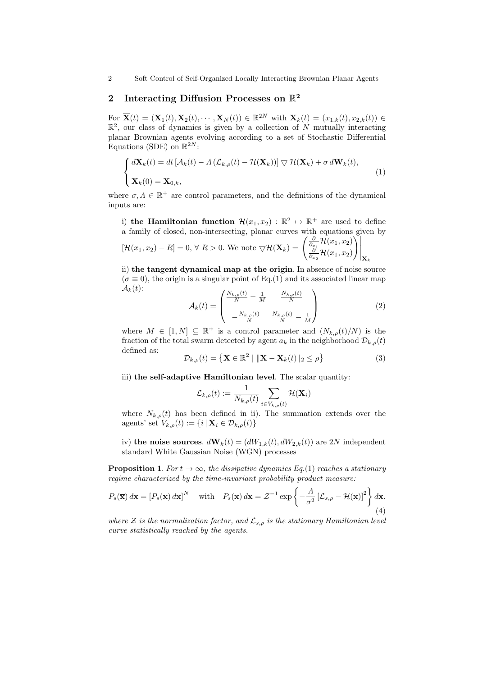2 Soft Control of Self-Organized Locally Interacting Brownian Planar Agents

## 2 Interacting Diffusion Processes on  $\mathbb{R}^2$

For  $\overline{\mathbf{X}}(t) = (\mathbf{X}_1(t), \mathbf{X}_2(t), \cdots, \mathbf{X}_N(t)) \in \mathbb{R}^{2N}$  with  $\mathbf{X}_k(t) = (x_{1,k}(t), x_{2,k}(t)) \in$  $\mathbb{R}^2$ , our class of dynamics is given by a collection of N mutually interacting planar Brownian agents evolving according to a set of Stochastic Differential Equations (SDE) on  $\mathbb{R}^{2N}$ :

$$
\begin{cases} d\mathbf{X}_k(t) = dt \left[ \mathcal{A}_k(t) - \Lambda \left( \mathcal{L}_{k,\rho}(t) - \mathcal{H}(\mathbf{X}_k) \right) \right] \nabla \mathcal{H}(\mathbf{X}_k) + \sigma d\mathbf{W}_k(t), \\ \mathbf{X}_k(0) = \mathbf{X}_{0,k}, \end{cases}
$$
(1)

where  $\sigma, \Lambda \in \mathbb{R}^+$  are control parameters, and the definitions of the dynamical inputs are:

i) the Hamiltonian function  $\mathcal{H}(x_1, x_2) : \mathbb{R}^2 \to \mathbb{R}^+$  are used to define a family of closed, non-intersecting, planar curves with equations given by

$$
[\mathcal{H}(x_1, x_2) - R] = 0, \forall R > 0. \text{ We note } \nabla \mathcal{H}(\mathbf{X}_k) = \left. \begin{pmatrix} \frac{\partial}{\partial x_1} \mathcal{H}(x_1, x_2) \\ \frac{\partial}{\partial x_2} \mathcal{H}(x_1, x_2) \end{pmatrix} \right|_{\mathbf{X}_k}
$$

ii) the tangent dynamical map at the origin. In absence of noise source  $(\sigma \equiv 0)$ , the origin is a singular point of Eq.(1) and its associated linear map  $\mathcal{A}_k(t)$ :

$$
\mathcal{A}_{k}(t) = \begin{pmatrix} \frac{N_{k,\rho}(t)}{N} - \frac{1}{M} & \frac{N_{k,\rho}(t)}{N} \\ -\frac{N_{k,\rho}(t)}{N} & \frac{N_{k,\rho}(t)}{N} - \frac{1}{M} \end{pmatrix}
$$
(2)

where  $M \in [1, N] \subseteq \mathbb{R}^+$  is a control parameter and  $(N_{k,\rho}(t)/N)$  is the fraction of the total swarm detected by agent  $a_k$  in the neighborhood  $\mathcal{D}_{k,o}(t)$ defined as:

$$
\mathcal{D}_{k,\rho}(t) = \left\{ \mathbf{X} \in \mathbb{R}^2 \mid \|\mathbf{X} - \mathbf{X}_k(t)\|_2 \le \rho \right\} \tag{3}
$$

iii) the self-adaptive Hamiltonian level. The scalar quantity:

$$
\mathcal{L}_{k,\rho}(t) := \frac{1}{N_{k,\rho}(t)} \sum_{i \in V_{k,\rho}(t)} \mathcal{H}(\mathbf{X}_i)
$$

where  $N_{k,\rho}(t)$  has been defined in ii). The summation extends over the agents' set  $V_{k,\rho}(t) := \{i \mid \mathbf{X}_i \in \mathcal{D}_{k,\rho}(t)\}\$ 

iv) the noise sources.  $d\mathbf{W}_k(t) = (dW_{1,k}(t), dW_{2,k}(t))$  are 2N independent standard White Gaussian Noise (WGN) processes

**Proposition 1.** For  $t \to \infty$ , the dissipative dynamics Eq.(1) reaches a stationary regime characterized by the time-invariant probability product measure:

$$
P_s(\overline{\mathbf{x}}) d\mathbf{x} = [P_s(\mathbf{x}) d\mathbf{x}]^N \quad \text{with} \quad P_s(\mathbf{x}) d\mathbf{x} = \mathcal{Z}^{-1} \exp\left\{-\frac{A}{\sigma^2} \left[\mathcal{L}_{s,\rho} - \mathcal{H}(\mathbf{x})\right]^2\right\} d\mathbf{x}.
$$
 (4)

where Z is the normalization factor, and  $\mathcal{L}_{s,p}$  is the stationary Hamiltonian level curve statistically reached by the agents.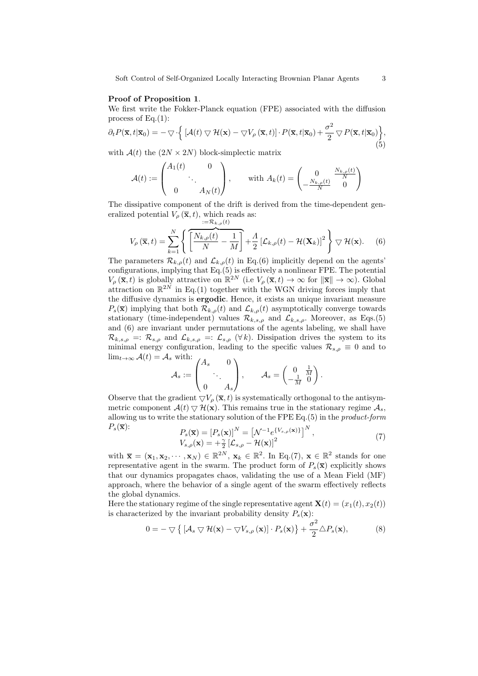#### Proof of Proposition 1.

We first write the Fokker-Planck equation (FPE) associated with the diffusion process of  $Eq.(1)$ :

$$
\partial_t P(\overline{\mathbf{x}}, t | \overline{\mathbf{x}}_0) = -\nabla \cdot \left\{ \left[ \mathcal{A}(t) \nabla \mathcal{H}(\mathbf{x}) - \nabla V_\rho(\overline{\mathbf{x}}, t) \right] \cdot P(\overline{\mathbf{x}}, t | \overline{\mathbf{x}}_0) + \frac{\sigma^2}{2} \nabla P(\overline{\mathbf{x}}, t | \overline{\mathbf{x}}_0) \right\},\tag{5}
$$

with  $A(t)$  the  $(2N \times 2N)$  block-simplectic matrix

$$
\mathcal{A}(t) := \begin{pmatrix} A_1(t) & 0 \\ & \ddots & \\ 0 & A_N(t) \end{pmatrix}, \quad \text{with } A_k(t) = \begin{pmatrix} 0 & \frac{N_{k,\rho}(t)}{N} \\ -\frac{N_{k,\rho}(t)}{N} & 0 \end{pmatrix}
$$

The dissipative component of the drift is derived from the time-dependent generalized potential  $V_{\rho}(\bar{\mathbf{x}}, t)$ , which reads as:  $:=\mathcal{R}_{k}$ ,  $(t)$ 

$$
V_{\rho}(\overline{\mathbf{x}},t) = \sum_{k=1}^{N} \left\{ \left[ \frac{N_{k,\rho}(t)}{N} - \frac{1}{M} \right] + \frac{\Lambda}{2} \left[ \mathcal{L}_{k,\rho}(t) - \mathcal{H}(\mathbf{X}_{k}) \right]^{2} \right\} \nabla \mathcal{H}(\mathbf{x}).
$$
 (6)

The parameters  $\mathcal{R}_{k,\rho}(t)$  and  $\mathcal{L}_{k,\rho}(t)$  in Eq.(6) implicitly depend on the agents' configurations, implying that Eq.(5) is effectively a nonlinear FPE. The potential  $V_{\rho}(\overline{\mathbf{x}},t)$  is globally attractive on  $\mathbb{R}^{2N}$  (i.e  $V_{\rho}(\overline{\mathbf{x}},t) \to \infty$  for  $\|\overline{\mathbf{x}}\| \to \infty$ ). Global attraction on  $\mathbb{R}^{2N}$  in Eq.(1) together with the WGN driving forces imply that the diffusive dynamics is ergodic. Hence, it exists an unique invariant measure  $P_s(\overline{\mathbf{x}})$  implying that both  $\mathcal{R}_{k,\rho}(t)$  and  $\mathcal{L}_{k,\rho}(t)$  asymptotically converge towards stationary (time-independent) values  $\mathcal{R}_{k,s,\rho}$  and  $\mathcal{L}_{k,s,\rho}$ . Moreover, as Eqs.(5) and (6) are invariant under permutations of the agents labeling, we shall have  $\mathcal{R}_{k,s,\rho} =: \mathcal{R}_{s,\rho}$  and  $\mathcal{L}_{k,s,\rho} =: \mathcal{L}_{s,\rho}$  ( $\forall k$ ). Dissipation drives the system to its minimal energy configuration, leading to the specific values  $\mathcal{R}_{s,\rho} \equiv 0$  and to  $\lim_{t\to\infty} \mathcal{A}(t) = \mathcal{A}_s$  with:  $\sim \sqrt{2}$ 

$$
\mathcal{A}_s := \begin{pmatrix} A_s & 0 \\ & \ddots & \\ 0 & A_s \end{pmatrix}, \qquad \mathcal{A}_s = \begin{pmatrix} 0 & \frac{1}{M} \\ -\frac{1}{M} & 0 \end{pmatrix}.
$$

Observe that the gradient  $\nabla V_{\rho}(\bar{\mathbf{x}}, t)$  is systematically orthogonal to the antisymmetric component  $\mathcal{A}(t) \nabla \mathcal{H}(\mathbf{x})$ . This remains true in the stationary regime  $\mathcal{A}_s$ , allowing us to write the stationary solution of the FPE Eq.(5) in the product-form  $P_{\rm s}(\overline{\mathbf{x}})$ :  $\mathbf{v}$ 

$$
P_s(\overline{\mathbf{x}}) = [P_s(\mathbf{x})]^N = \left[\mathcal{N}^{-1}e^{\{V_{s,\rho}(\mathbf{x})\}}\right]^N,
$$
  
\n
$$
V_{s,\rho}(\mathbf{x}) = +\frac{\gamma}{2}\left[\mathcal{L}_{s,\rho} - \mathcal{H}(\mathbf{x})\right]^2
$$
\n(7)

with  $\overline{\mathbf{x}} = (\mathbf{x}_1, \mathbf{x}_2, \cdots, \mathbf{x}_N) \in \mathbb{R}^{2N}$ ,  $\mathbf{x}_k \in \mathbb{R}^2$ . In Eq.(7),  $\mathbf{x} \in \mathbb{R}^2$  stands for one representative agent in the swarm. The product form of  $P_s(\overline{\mathbf{x}})$  explicitly shows that our dynamics propagates chaos, validating the use of a Mean Field (MF) approach, where the behavior of a single agent of the swarm effectively reflects the global dynamics.

Here the stationary regime of the single representative agent  $\mathbf{X}(t) = (x_1(t), x_2(t))$ is characterized by the invariant probability density  $P_s(\mathbf{x})$ :

$$
0 = -\bigtriangledown \left\{ \left[ \mathcal{A}_s \bigtriangledown \mathcal{H}(\mathbf{x}) - \bigtriangledown V_{s,\rho}(\mathbf{x}) \right] \cdot P_s(\mathbf{x}) \right\} + \frac{\sigma^2}{2} \triangle P_s(\mathbf{x}), \tag{8}
$$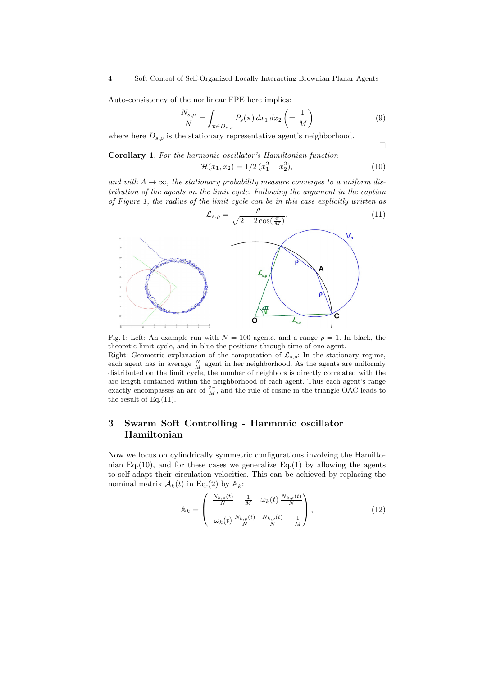Auto-consistency of the nonlinear FPE here implies:

$$
\frac{N_{s,\rho}}{N} = \int_{\mathbf{x} \in D_{s,\rho}} P_s(\mathbf{x}) \, dx_1 \, dx_2 \left( = \frac{1}{M} \right) \tag{9}
$$

 $\Box$ 

where here  $D_{s,o}$  is the stationary representative agent's neighborhood.

Corollary 1. For the harmonic oscillator's Hamiltonian function  $\mathcal{H}(x_1, x_2) = 1/2 (x_1^2 + x_2^2)$  $(10)$ 

and with  $\Lambda \to \infty$ , the stationary probability measure converges to a uniform distribution of the agents on the limit cycle. Following the argument in the caption of Figure 1, the radius of the limit cycle can be in this case explicitly written as



Fig. 1: Left: An example run with  $N = 100$  agents, and a range  $\rho = 1$ . In black, the theoretic limit cycle, and in blue the positions through time of one agent. Right: Geometric explanation of the computation of  $\mathcal{L}_{s,\rho}$ : In the stationary regime, each agent has in average  $\frac{N}{M}$  agent in her neighborhood. As the agents are uniformly distributed on the limit cycle, the number of neighbors is directly correlated with the arc length contained within the neighborhood of each agent. Thus each agent's range exactly encompasses an arc of  $\frac{2\pi}{M}$ , and the rule of cosine in the triangle OAC leads to the result of Eq. $(11)$ .

## 3 Swarm Soft Controlling - Harmonic oscillator Hamiltonian

Now we focus on cylindrically symmetric configurations involving the Hamiltonian Eq.(10), and for these cases we generalize Eq.(1) by allowing the agents to self-adapt their circulation velocities. This can be achieved by replacing the nominal matrix  $\mathcal{A}_k(t)$  in Eq.(2) by  $\mathbb{A}_k$ :

$$
\mathbb{A}_{k} = \begin{pmatrix} \frac{N_{k,\rho}(t)}{N} - \frac{1}{M} & \omega_{k}(t) \frac{N_{k,\rho}(t)}{N} \\ -\omega_{k}(t) \frac{N_{k,\rho}(t)}{N} & \frac{N_{k,\rho}(t)}{N} - \frac{1}{M} \end{pmatrix},
$$
(12)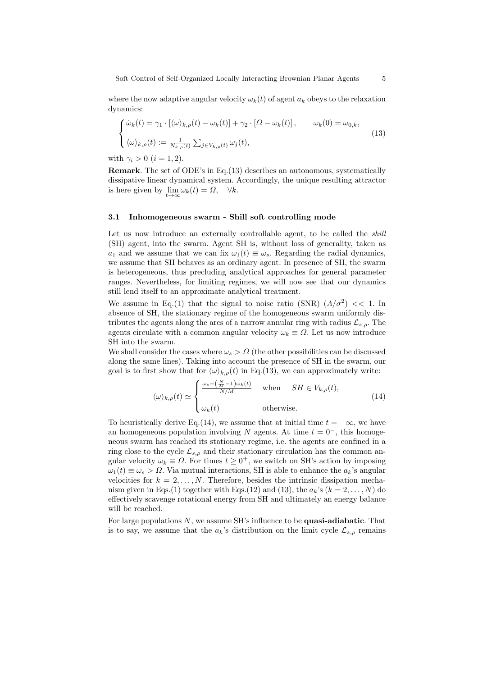where the now adaptive angular velocity  $\omega_k(t)$  of agent  $a_k$  obeys to the relaxation dynamics:

$$
\begin{cases}\n\dot{\omega}_k(t) = \gamma_1 \cdot [\langle \omega \rangle_{k,\rho}(t) - \omega_k(t)] + \gamma_2 \cdot [\Omega - \omega_k(t)], & \omega_k(0) = \omega_{0,k}, \\
\langle \omega \rangle_{k,\rho}(t) := \frac{1}{N_{k,\rho}(t)} \sum_{j \in V_{k,\rho}(t)} \omega_j(t),\n\end{cases}
$$
\n(13)

with  $\gamma_i > 0$   $(i = 1, 2)$ .

Remark. The set of ODE's in Eq.(13) describes an autonomous, systematically dissipative linear dynamical system. Accordingly, the unique resulting attractor is here given by  $\lim_{t \to \infty} \omega_k(t) = \Omega$ ,  $\forall k$ .

#### 3.1 Inhomogeneous swarm - Shill soft controlling mode

Let us now introduce an externally controllable agent, to be called the *shill* (SH) agent, into the swarm. Agent SH is, without loss of generality, taken as  $a_1$  and we assume that we can fix  $\omega_1(t) \equiv \omega_s$ . Regarding the radial dynamics, we assume that SH behaves as an ordinary agent. In presence of SH, the swarm is heterogeneous, thus precluding analytical approaches for general parameter ranges. Nevertheless, for limiting regimes, we will now see that our dynamics still lend itself to an approximate analytical treatment.

We assume in Eq.(1) that the signal to noise ratio (SNR)  $(\Lambda/\sigma^2)$  << 1. In absence of SH, the stationary regime of the homogeneous swarm uniformly distributes the agents along the arcs of a narrow annular ring with radius  $\mathcal{L}_{s,o}$ . The agents circulate with a common angular velocity  $\omega_k \equiv \Omega$ . Let us now introduce SH into the swarm.

We shall consider the cases where  $\omega_s > \Omega$  (the other possibilities can be discussed along the same lines). Taking into account the presence of SH in the swarm, our goal is to first show that for  $\langle \omega \rangle_{k,\rho}(t)$  in Eq.(13), we can approximately write:

$$
\langle \omega \rangle_{k,\rho}(t) \simeq \begin{cases} \frac{\omega_s + \left(\frac{N}{M} - 1\right) \omega_k(t)}{N/M} & \text{when} \quad SH \in V_{k,\rho}(t), \\ \omega_k(t) & \text{otherwise.} \end{cases}
$$
(14)

To heuristically derive Eq.(14), we assume that at initial time  $t = -\infty$ , we have an homogeneous population involving N agents. At time  $t = 0^-$ , this homogeneous swarm has reached its stationary regime, i.e. the agents are confined in a ring close to the cycle  $\mathcal{L}_{s,\rho}$  and their stationary circulation has the common angular velocity  $\omega_k \equiv \Omega$ . For times  $t \geq 0^+$ , we switch on SH's action by imposing  $\omega_1(t) \equiv \omega_s > \Omega$ . Via mutual interactions, SH is able to enhance the  $a_k$ 's angular velocities for  $k = 2, \ldots, N$ . Therefore, besides the intrinsic dissipation mechanism given in Eqs.(1) together with Eqs.(12) and (13), the  $a_k$ 's ( $k = 2, ..., N$ ) do effectively scavenge rotational energy from SH and ultimately an energy balance will be reached.

For large populations  $N$ , we assume SH's influence to be **quasi-adiabatic**. That is to say, we assume that the  $a_k$ 's distribution on the limit cycle  $\mathcal{L}_{s,\rho}$  remains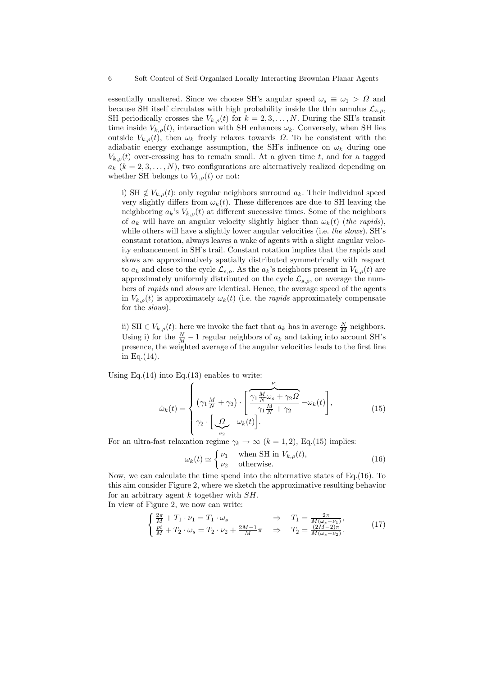essentially unaltered. Since we choose SH's angular speed  $\omega_s \equiv \omega_1 > \Omega$  and because SH itself circulates with high probability inside the thin annulus  $\mathcal{L}_{s,o}$ , SH periodically crosses the  $V_{k,\rho}(t)$  for  $k = 2, 3, ..., N$ . During the SH's transit time inside  $V_{k,\rho}(t)$ , interaction with SH enhances  $\omega_k$ . Conversely, when SH lies outside  $V_{k,\rho}(t)$ , then  $\omega_k$  freely relaxes towards  $\Omega$ . To be consistent with the adiabatic energy exchange assumption, the SH's influence on  $\omega_k$  during one  $V_{k,\rho}(t)$  over-crossing has to remain small. At a given time t, and for a tagged  $a_k$   $(k = 2, 3, \ldots, N)$ , two configurations are alternatively realized depending on whether SH belongs to  $V_{k,\rho}(t)$  or not:

i) SH  $\notin V_{k,\rho}(t)$ : only regular neighbors surround  $a_k$ . Their individual speed very slightly differs from  $\omega_k(t)$ . These differences are due to SH leaving the neighboring  $a_k$ 's  $V_{k,\rho}(t)$  at different successive times. Some of the neighbors of  $a_k$  will have an angular velocity slightly higher than  $\omega_k(t)$  (the rapids), while others will have a slightly lower angular velocities (i.e. the slows). SH's constant rotation, always leaves a wake of agents with a slight angular velocity enhancement in SH's trail. Constant rotation implies that the rapids and slows are approximatively spatially distributed symmetrically with respect to  $a_k$  and close to the cycle  $\mathcal{L}_{s,o}$ . As the  $a_k$ 's neighbors present in  $V_{k,o}(t)$  are approximately uniformly distributed on the cycle  $\mathcal{L}_{s,o}$ , on average the numbers of rapids and slows are identical. Hence, the average speed of the agents in  $V_{k,\rho}(t)$  is approximately  $\omega_k(t)$  (i.e. the *rapids* approximately compensate for the slows).

ii) SH  $\in V_{k,\rho}(t)$ : here we invoke the fact that  $a_k$  has in average  $\frac{N}{M}$  neighbors. Using i) for the  $\frac{N}{M} - 1$  regular neighbors of  $a_k$  and taking into account SH's presence, the weighted average of the angular velocities leads to the first line in Eq.(14).

Using Eq.(14) into Eq.(13) enables to write:

$$
\dot{\omega}_k(t) = \begin{cases} \n\left(\gamma_1 \frac{M}{N} + \gamma_2\right) \cdot \left[\frac{\gamma_1 \frac{M}{N} \omega_s + \gamma_2 \Omega}{\gamma_1 \frac{M}{N} + \gamma_2} - \omega_k(t)\right],\\ \n\gamma_2 \cdot \left[\frac{\Omega}{\omega_2} - \omega_k(t)\right].\n\end{cases} \tag{15}
$$

For an ultra-fast relaxation regime  $\gamma_k \to \infty$   $(k = 1, 2)$ , Eq.(15) implies:

$$
\omega_k(t) \simeq \begin{cases} \nu_1 & \text{when SH in } V_{k,\rho}(t), \\ \nu_2 & \text{otherwise.} \end{cases}
$$
 (16)

Now, we can calculate the time spend into the alternative states of Eq.(16). To this aim consider Figure 2, where we sketch the approximative resulting behavior for an arbitrary agent  $k$  together with  $SH$ . In view of Figure 2, we now can write:

$$
\begin{cases} \frac{2\pi}{M} + T_1 \cdot \nu_1 = T_1 \cdot \omega_s & \Rightarrow T_1 = \frac{2\pi}{M(\omega_s - \nu_1)},\\ \frac{pi}{M} + T_2 \cdot \omega_s = T_2 \cdot \nu_2 + \frac{2M-1}{M}\pi & \Rightarrow T_2 = \frac{(2M-2)\pi}{M(\omega_s - \nu_2)}. \end{cases} \tag{17}
$$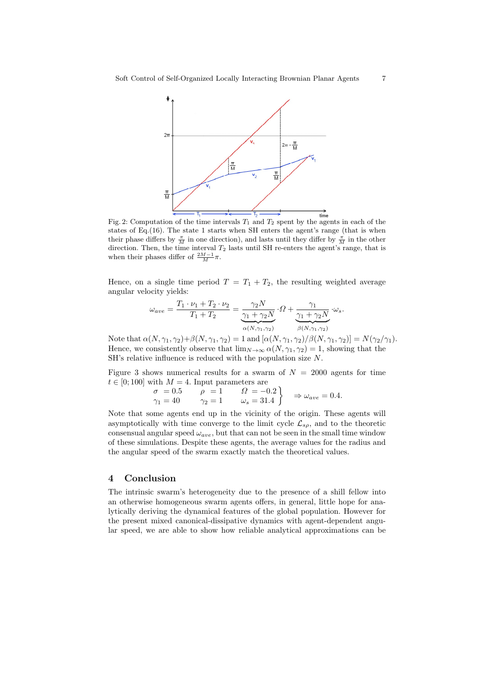

Fig. 2: Computation of the time intervals  $T_1$  and  $T_2$  spent by the agents in each of the states of Eq.(16). The state 1 starts when SH enters the agent's range (that is when their phase differs by  $\frac{\pi}{M}$  in one direction), and lasts until they differ by  $\frac{\pi}{M}$  in the other direction. Then, the time interval  $T_2$  lasts until SH re-enters the agent's range, that is when their phases differ of  $\frac{2M-1}{M}\pi$ .

Hence, on a single time period  $T = T_1 + T_2$ , the resulting weighted average angular velocity yields:

$$
\omega_{ave} = \frac{T_1 \cdot \nu_1 + T_2 \cdot \nu_2}{T_1 + T_2} = \underbrace{\frac{\gamma_2 N}{\gamma_1 + \gamma_2 N}}_{\alpha(N, \gamma_1, \gamma_2)} \cdot \Omega + \underbrace{\frac{\gamma_1}{\gamma_1 + \gamma_2 N}}_{\beta(N, \gamma_1, \gamma_2)} \cdot \omega_s.
$$

Note that  $\alpha(N, \gamma_1, \gamma_2)+\beta(N, \gamma_1, \gamma_2)=1$  and  $[\alpha(N, \gamma_1, \gamma_2)/\beta(N, \gamma_1, \gamma_2)]=N(\gamma_2/\gamma_1)$ . Hence, we consistently observe that  $\lim_{N\to\infty} \alpha(N, \gamma_1, \gamma_2) = 1$ , showing that the SH's relative influence is reduced with the population size N.

Figure 3 shows numerical results for a swarm of  $N = 2000$  agents for time  $t \in [0; 100]$  with  $M = 4$ . Input parameters are

$$
\begin{array}{ccc}\n\sigma = 0.5 & \rho = 1 & \Omega = -0.2 \\
\gamma_1 = 40 & \gamma_2 = 1 & \omega_s = 31.4\n\end{array}\n\Rightarrow \omega_{ave} = 0.4.
$$

Note that some agents end up in the vicinity of the origin. These agents will asymptotically with time converge to the limit cycle  $\mathcal{L}_{s\rho}$ , and to the theoretic consensual angular speed  $\omega_{ave}$ , but that can not be seen in the small time window of these simulations. Despite these agents, the average values for the radius and the angular speed of the swarm exactly match the theoretical values.

#### 4 Conclusion

The intrinsic swarm's heterogeneity due to the presence of a shill fellow into an otherwise homogeneous swarm agents offers, in general, little hope for analytically deriving the dynamical features of the global population. However for the present mixed canonical-dissipative dynamics with agent-dependent angular speed, we are able to show how reliable analytical approximations can be